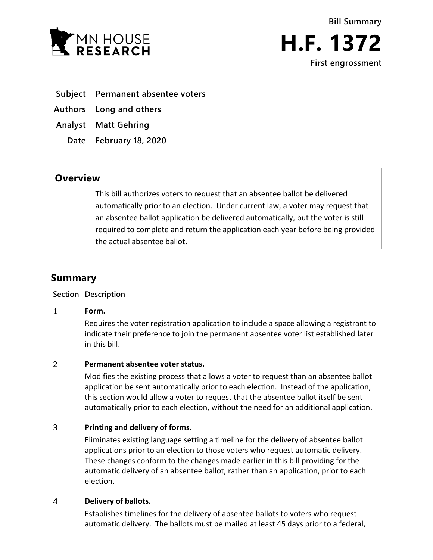



- **Subject Permanent absentee voters**
- **Authors Long and others**
- **Analyst Matt Gehring**
	- **Date February 18, 2020**

## **Overview**

This bill authorizes voters to request that an absentee ballot be delivered automatically prior to an election. Under current law, a voter may request that an absentee ballot application be delivered automatically, but the voter is still required to complete and return the application each year before being provided the actual absentee ballot.

# **Summary**

### **Section Description**

#### $\mathbf{1}$ **Form.**

Requires the voter registration application to include a space allowing a registrant to indicate their preference to join the permanent absentee voter list established later in this bill.

#### $\overline{2}$ **Permanent absentee voter status.**

Modifies the existing process that allows a voter to request than an absentee ballot application be sent automatically prior to each election. Instead of the application, this section would allow a voter to request that the absentee ballot itself be sent automatically prior to each election, without the need for an additional application.

#### $\overline{3}$ **Printing and delivery of forms.**

Eliminates existing language setting a timeline for the delivery of absentee ballot applications prior to an election to those voters who request automatic delivery. These changes conform to the changes made earlier in this bill providing for the automatic delivery of an absentee ballot, rather than an application, prior to each election.

#### $\overline{4}$ **Delivery of ballots.**

Establishes timelines for the delivery of absentee ballots to voters who request automatic delivery. The ballots must be mailed at least 45 days prior to a federal,